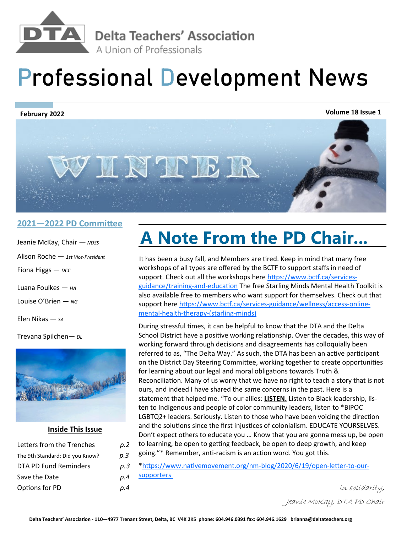

## **Professional Development News**

**Volume 18 Issue 1 February 2022**



## **2021—2022 PD Committee**

- Jeanie McKay, Chair —*NDSS* Alison Roche — *1st Vice-President* Fiona Higgs *— DCC* Luana Foulkes — *HA* Louise O'Brien — *NG*
- 
- Elen Nikas *— SA*

Trevana Spilchen*— DL*



## **Inside This Issue**

| Letters from the Trenches       | p.2 |
|---------------------------------|-----|
| The 9th Standard: Did you Know? | p.3 |
| DTA PD Fund Reminders           | p.3 |
| Save the Date                   | p.4 |
| Options for PD                  | p.4 |

## **A Note From the PD Chair...**

It has been a busy fall, and Members are tired. Keep in mind that many free workshops of all types are offered by the BCTF to support staffs in need of support. Check out all the workshops here [https://www.bctf.ca/services](https://www.bctf.ca/services-guidance/training-and-education)[guidance/training](https://www.bctf.ca/services-guidance/training-and-education)-and-education The free Starling Minds Mental Health Toolkit is also available free to members who want support for themselves. Check out that support here [https://www.bctf.ca/services](https://www.bctf.ca/services-guidance/wellness/access-online-mental-health-therapy-(starling-minds))-guidance/wellness/access-onlinemental-health-therapy-[\(starling](https://www.bctf.ca/services-guidance/wellness/access-online-mental-health-therapy-(starling-minds))-minds)

During stressful times, it can be helpful to know that the DTA and the Delta School District have a positive working relationship. Over the decades, this way of working forward through decisions and disagreements has colloquially been referred to as, "The Delta Way." As such, the DTA has been an active participant on the District Day Steering Committee, working together to create opportunities for learning about our legal and moral obligations towards Truth & Reconciliation. Many of us worry that we have no right to teach a story that is not ours, and indeed I have shared the same concerns in the past. Here is a statement that helped me. "To our allies: **LISTEN.** Listen to Black leadership, listen to Indigenous and people of color community leaders, listen to \*BIPOC LGBTQ2+ leaders. Seriously. Listen to those who have been voicing the direction and the solutions since the first injustices of colonialism. EDUCATE YOURSELVES. Don't expect others to educate you … Know that you are gonna mess up, be open to learning, be open to getting feedback, be open to deep growth, and keep going."\* Remember, anti-racism is an action word. You got this.

\*https://www.nativemovement.org/nm-blog/2020/6/19/open-letter-to-oursupporters

> in solidarity, Jeanie McKay, DTA PD Chair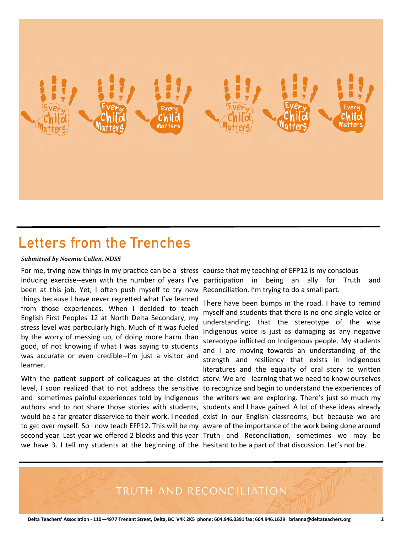

## **Letters from the Trenches**

#### *Submitted by Noemia Cullen, NDSS*

For me, trying new things in my practice can be a stress course that my teaching of EFP12 is my conscious inducing exercise--even with the number of years I've been at this job. Yet, I often push myself to try new things because I have never regretted what I've learned from those experiences. When I decided to teach English First Peoples 12 at North Delta Secondary, my stress level was particularly high. Much of it was fueled by the worry of messing up, of doing more harm than good, of not knowing if what I was saying to students was accurate or even credible--I'm just a visitor and learner.

With the patient support of colleagues at the district story. We are learning that we need to know ourselves level, I soon realized that to not address the sensitive to recognize and begin to understand the experiences of authors and to not share those stories with students, students and I have gained. A lot of these ideas already would be a far greater disservice to their work. I needed exist in our English classrooms, but because we are to get over myself. So I now teach EFP12. This will be my aware of the importance of the work being done around second year. Last year we offered 2 blocks and this year Truth and Reconciliation, sometimes we may be we have 3. I tell my students at the beginning of the hesitant to be a part of that discussion. Let's not be.

participation in being an ally for Truth and Reconciliation. I'm trying to do a small part.

and sometimes painful experiences told by Indigenous the writers we are exploring. There's just so much my There have been bumps in the road. I have to remind myself and students that there is no one single voice or understanding; that the stereotype of the wise Indigenous voice is just as damaging as any negative stereotype inflicted on Indigenous people. My students and I are moving towards an understanding of the strength and resiliency that exists in Indigenous literatures and the equality of oral story to written

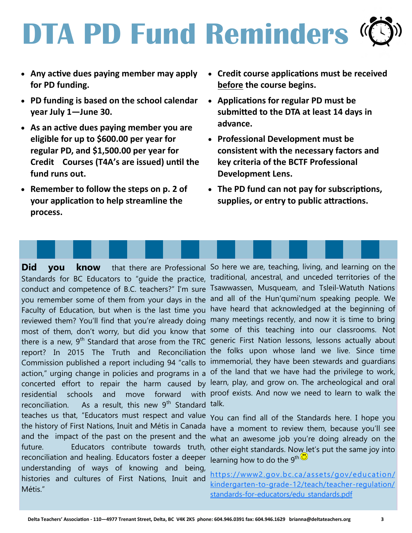# **DTA PD Fund Reminders <sup>(C</sup>)**

- **Any active dues paying member may apply for PD funding.**
- **PD funding is based on the school calendar year July 1—June 30.**
- **As an active dues paying member you are eligible for up to \$600.00 per year for regular PD, and \$1,500.00 per year for Credit Courses (T4A's are issued) until the fund runs out.**
- **Remember to follow the steps on p. 2 of your application to help streamline the process.**
- **Credit course applications must be received before the course begins.**
- **Applications for regular PD must be submitted to the DTA at least 14 days in advance.**
- **Professional Development must be consistent with the necessary factors and key criteria of the BCTF Professional Development Lens.**
- **The PD fund can not pay for subscriptions, supplies, or entry to public attractions.**

conduct and competence of B.C. teachers?" I'm sure Tsawwassen, Musqueam, and Tsleil-Watuth Nations concerted effort to repair the harm caused by reconciliation. As a result, this new 9<sup>th</sup> Standard talk. teaches us that, "Educators must respect and value  $\gamma_{\text{OU}}$  can find all of the Standards here. I hope you the history of First Nations, Inuit and Métis in Canada reconciliation and healing. Educators foster a deeper understanding of ways of knowing and being, histories and cultures of First Nations, Inuit and Métis."

Did you know that there are Professional So here we are, teaching, living, and learning on the Standards for BC Educators to "guide the practice, traditional, ancestral, and unceded territories of the you remember some of them from your days in the and all of the Hun'qumi'num speaking people. We Faculty of Education, but when is the last time you have heard that acknowledged at the beginning of reviewed them? You'll find that you're already doing many meetings recently, and now it is time to bring most of them, don't worry, but did you know that some of this teaching into our classrooms. Not there is a new, 9<sup>th</sup> Standard that arose from the TRC generic First Nation lessons, lessons actually about report? In 2015 The Truth and Reconciliation the folks upon whose land we live. Since time Commission published a report including 94 "calls to immemorial, they have been stewards and guardians action," urging change in policies and programs in a of the land that we have had the privilege to work, residential schools and move forward with proof exists. And now we need to learn to walk the learn, play, and grow on. The archeological and oral

and the impact of the past on the present and the what an awesome job you're doing already on the future. Educators contribute towards truth, other eight standards. Now let's put the same joy into have a moment to review them, because you'll see learning how to do the  $9^{\text{th}}$ <sup>1</sup>

> [https://www2.gov.bc.ca/assets/gov/education/](https://www2.gov.bc.ca/assets/gov/education/kindergarten-to-grade-12/teach/teacher-regulation/standards-for-educators/edu_standards.pdf) [kindergarten-to-grade-12/teach/teacher-regulation/](https://www2.gov.bc.ca/assets/gov/education/kindergarten-to-grade-12/teach/teacher-regulation/standards-for-educators/edu_standards.pdf) [standards-for-educators/edu\\_standards.pdf](https://www2.gov.bc.ca/assets/gov/education/kindergarten-to-grade-12/teach/teacher-regulation/standards-for-educators/edu_standards.pdf)